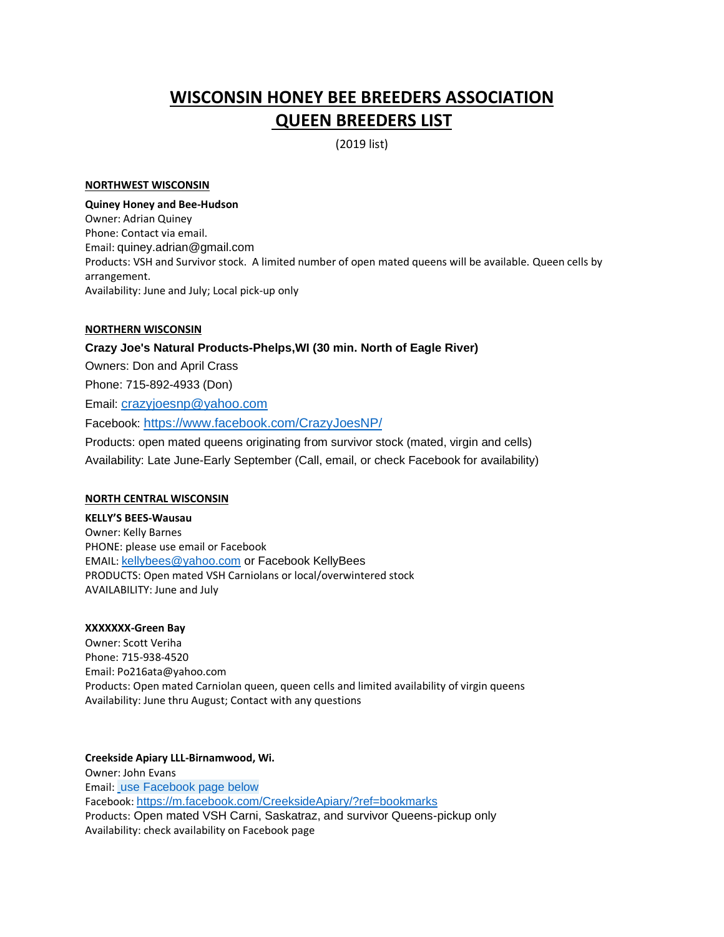# **WISCONSIN HONEY BEE BREEDERS ASSOCIATION QUEEN BREEDERS LIST**

(2019 list)

#### **NORTHWEST WISCONSIN**

#### **Quiney Honey and Bee-Hudson**

Owner: Adrian Quiney Phone: Contact via email. Email: quiney.adrian@gmail.com Products: VSH and Survivor stock. A limited number of open mated queens will be available. Queen cells by arrangement. Availability: June and July; Local pick-up only

### **NORTHERN WISCONSIN**

# **Crazy Joe's Natural Products-Phelps,WI (30 min. North of Eagle River)** Owners: Don and April Crass Phone: 715-892-4933 (Don) Email: [crazyjoesnp@yahoo.com](mailto:crazyjoesnp@yahoo.com) Facebook: <https://www.facebook.com/CrazyJoesNP/> Products: open mated queens originating from survivor stock (mated, virgin and cells) Availability: Late June-Early September (Call, email, or check Facebook for availability)

#### **NORTH CENTRAL WISCONSIN**

**KELLY'S BEES-Wausau** Owner: Kelly Barnes PHONE: please use email or Facebook EMAIL: [kellybees@yahoo.com](mailto:kellybees@yahoo.com) or Facebook KellyBees PRODUCTS: Open mated VSH Carniolans or local/overwintered stock AVAILABILITY: June and July

# **XXXXXXX-Green Bay**

Owner: Scott Veriha Phone: 715-938-4520 Email: Po216ata@yahoo.com Products: Open mated Carniolan queen, queen cells and limited availability of virgin queens Availability: June thru August; Contact with any questions

**Creekside Apiary LLL-Birnamwood, Wi.**  Owner: John Evans Email: use Facebook page below Facebook: <https://m.facebook.com/CreeksideApiary/?ref=bookmarks> Products: Open mated VSH Carni, Saskatraz, and survivor Queens-pickup only Availability: check availability on Facebook page